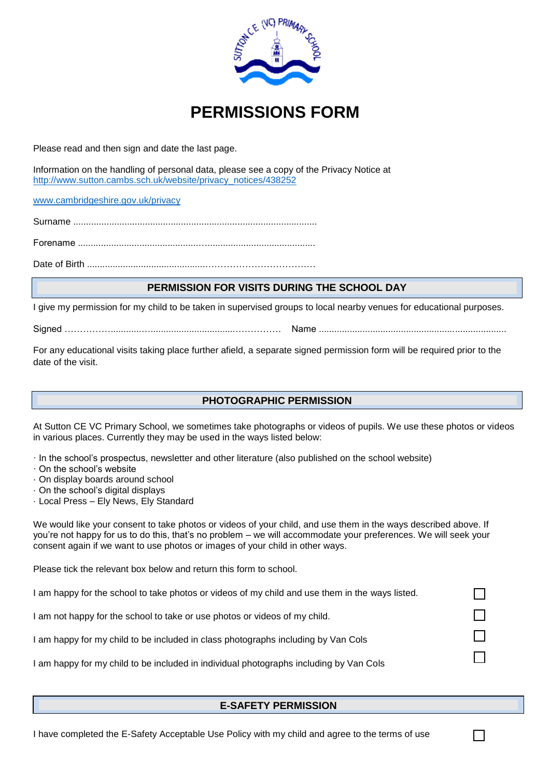

# **PERMISSIONS FORM**

Please read and then sign and date the last page.

Information on the handling of personal data, please see a copy of the Privacy Notice at [http://www.sutton.cambs.sch.uk/website/privacy\\_notices/438252](http://www.sutton.cambs.sch.uk/website/privacy_notices/438252)

[www.cambridgeshire.gov.uk/privacy](http://www.cambridgeshire.gov.uk/privacy)

Surname ...............................................................................................

Forename ...............................................…..........................................

Date of Birth ..............................................………………………………

## **PERMISSION FOR VISITS DURING THE SCHOOL DAY**

I give my permission for my child to be taken in supervised groups to local nearby venues for educational purposes.

Signed ……………............….................................…………… Name .........................................................................

For any educational visits taking place further afield, a separate signed permission form will be required prior to the date of the visit.

## **PHOTOGRAPHIC PERMISSION**

At Sutton CE VC Primary School, we sometimes take photographs or videos of pupils. We use these photos or videos in various places. Currently they may be used in the ways listed below:

· In the school's prospectus, newsletter and other literature (also published on the school website)

- · On the school's website
- · On display boards around school
- · On the school's digital displays
- · Local Press Ely News, Ely Standard

We would like your consent to take photos or videos of your child, and use them in the ways described above. If you're not happy for us to do this, that's no problem – we will accommodate your preferences. We will seek your consent again if we want to use photos or images of your child in other ways.

Please tick the relevant box below and return this form to school.

I am happy for the school to take photos or videos of my child and use them in the ways listed.

I am not happy for the school to take or use photos or videos of my child.

I am happy for my child to be included in class photographs including by Van Cols

I am happy for my child to be included in individual photographs including by Van Cols

#### **E-SAFETY PERMISSION**

П

П